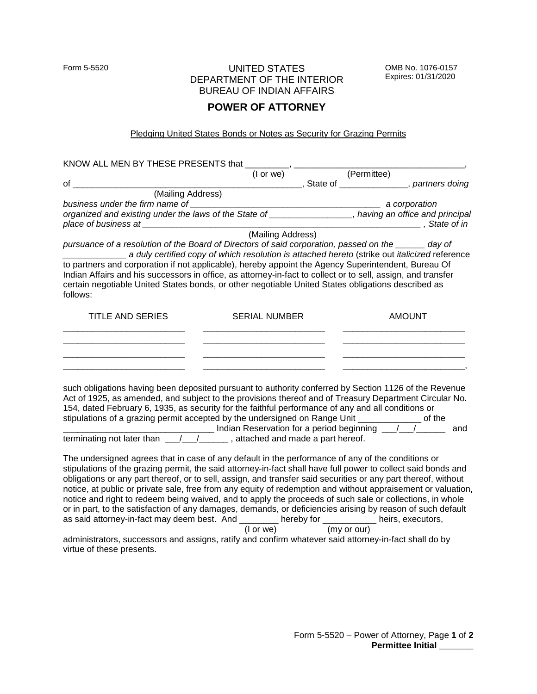## Form 5-5520 UNITED STATES DEPARTMENT OF THE INTERIOR BUREAU OF INDIAN AFFAIRS

OMB No. 1076-0157 Expires: 01/31/2020

## **POWER OF ATTORNEY**

## Pledging United States Bonds or Notes as Security for Grazing Permits

| KNOW ALL MEN BY THESE PRESENTS that _________, ____________                                                                                                                                                                                                                                                                                                                                                                                                                                                                                                                          |                      |  |                       |                                                                                |
|--------------------------------------------------------------------------------------------------------------------------------------------------------------------------------------------------------------------------------------------------------------------------------------------------------------------------------------------------------------------------------------------------------------------------------------------------------------------------------------------------------------------------------------------------------------------------------------|----------------------|--|-----------------------|--------------------------------------------------------------------------------|
|                                                                                                                                                                                                                                                                                                                                                                                                                                                                                                                                                                                      |                      |  | (I or we) (Permittee) |                                                                                |
| of l                                                                                                                                                                                                                                                                                                                                                                                                                                                                                                                                                                                 |                      |  |                       | ________________________________, State of ___________________, partners doing |
| (Mailing Address)                                                                                                                                                                                                                                                                                                                                                                                                                                                                                                                                                                    |                      |  |                       |                                                                                |
| business under the firm name of                                                                                                                                                                                                                                                                                                                                                                                                                                                                                                                                                      |                      |  | a corporation         |                                                                                |
| organized and existing under the laws of the State of ________________, having an office and principal<br>Dryanized and Dolomby and Dream and Dream and Dream and Dream and Dream and Dream and Oriental Control (Mailing Address)                                                                                                                                                                                                                                                                                                                                                   |                      |  |                       | State of in 3. State of in                                                     |
|                                                                                                                                                                                                                                                                                                                                                                                                                                                                                                                                                                                      |                      |  |                       |                                                                                |
| pursuance of a resolution of the Board of Directors of said corporation, passed on the ______ day of<br>a duly certified copy of which resolution is attached hereto (strike out italicized reference<br>to partners and corporation if not applicable), hereby appoint the Agency Superintendent, Bureau Of<br>Indian Affairs and his successors in office, as attorney-in-fact to collect or to sell, assign, and transfer<br>certain negotiable United States bonds, or other negotiable United States obligations described as<br>follows:                                       |                      |  |                       |                                                                                |
| <b>TITLE AND SERIES</b>                                                                                                                                                                                                                                                                                                                                                                                                                                                                                                                                                              | <b>SERIAL NUMBER</b> |  | <b>AMOUNT</b>         |                                                                                |
| such obligations having been deposited pursuant to authority conferred by Section 1126 of the Revenue<br>Act of 1925, as amended, and subject to the provisions thereof and of Treasury Department Circular No.<br>154, dated February 6, 1935, as security for the faithful performance of any and all conditions or<br>stipulations of a grazing permit accepted by the undersigned on Range Unit _____________ of the<br>Indian Reservation for a period beginning 1/1/1<br>terminating not later than $\frac{1}{\sqrt{1-\frac{1}{1-\cdots}}}$ , attached and made a part hereof. |                      |  |                       | and                                                                            |
| The undersigned agrees that in case of any default in the performance of any of the conditions or<br>stinulations of the suspice normali the sold ottomenuin foot shall housefull nouveaux to collect poid house onel                                                                                                                                                                                                                                                                                                                                                                |                      |  |                       |                                                                                |

stipulations of the grazing permit, the said attorney-in-fact shall have full power to collect said bonds and obligations or any part thereof, or to sell, assign, and transfer said securities or any part thereof, without notice, at public or private sale, free from any equity of redemption and without appraisement or valuation, notice and right to redeem being waived, and to apply the proceeds of such sale or collections, in whole or in part, to the satisfaction of any damages, demands, or deficiencies arising by reason of such default as said attorney-in-fact may deem best. And hereby for heirs, executors, as said attorney-in-fact may deem best. And (I or we) (my or our)

administrators, successors and assigns, ratify and confirm whatever said attorney-in-fact shall do by virtue of these presents.